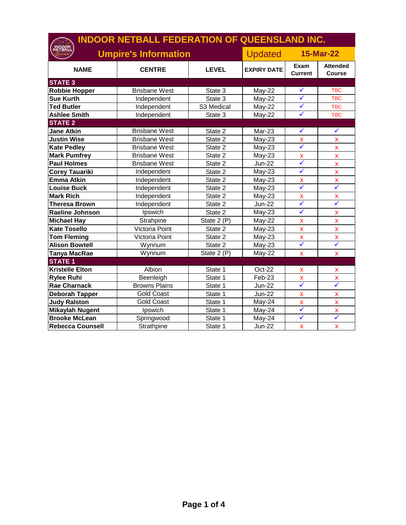| <b>INDOOR NETBALL FEDERATION OF QUEENSLAND INC.</b> |                             |              |                    |                           |                                  |  |
|-----------------------------------------------------|-----------------------------|--------------|--------------------|---------------------------|----------------------------------|--|
|                                                     | <b>Umpire's Information</b> |              | <b>Updated</b>     |                           | <b>15-Mar-22</b>                 |  |
| <b>NAME</b>                                         | <b>CENTRE</b>               | <b>LEVEL</b> | <b>EXPIRY DATE</b> | Exam<br><b>Current</b>    | <b>Attended</b><br><b>Course</b> |  |
| <b>STATE 3</b>                                      |                             |              |                    |                           |                                  |  |
| <b>Robbie Hopper</b>                                | <b>Brisbane West</b>        | State 3      | <b>May-22</b>      | ✓                         | <b>TBC</b>                       |  |
| <b>Sue Kurth</b>                                    | Independent                 | State 3      | $May-22$           | $\checkmark$              | <b>TBC</b>                       |  |
| <b>Ted Butler</b>                                   | Independent                 | S3 Medical   | $May-22$           | $\checkmark$              | <b>TBC</b>                       |  |
| <b>Ashlee Smith</b>                                 | Independent                 | State 3      | May-22             | $\checkmark$              | <b>TBC</b>                       |  |
| <b>STATE 2</b>                                      |                             |              |                    |                           |                                  |  |
| <b>Jane Atkin</b>                                   | <b>Brisbane West</b>        | State 2      | Mar-23             | $\checkmark$              | $\checkmark$                     |  |
| <b>Justin Wise</b>                                  | <b>Brisbane West</b>        | State 2      | $May-23$           | $\pmb{\mathsf{X}}$        | $\pmb{\mathsf{x}}$               |  |
| <b>Kate Pedley</b>                                  | <b>Brisbane West</b>        | State 2      | $May-23$           | ✓                         | $\bar{\mathbf{X}}$               |  |
| <b>Mark Pumfrey</b>                                 | <b>Brisbane West</b>        | State 2      | May-23             | $\pmb{\mathsf{X}}$        | $\pmb{\mathsf{X}}$               |  |
| <b>Paul Holmes</b>                                  | <b>Brisbane West</b>        | State 2      | <b>Jun-22</b>      | ✓                         | $\bar{\mathbf{X}}$               |  |
| <b>Corey Tauariki</b>                               | Independent                 | State 2      | $May-23$           | $\checkmark$              | $\bar{\mathbf{X}}$               |  |
| <b>Emma Atkin</b>                                   | Independent                 | State 2      | May-23             | $\pmb{\mathsf{X}}$        | $\pmb{\mathsf{X}}$               |  |
| Louise Buck                                         | Independent                 | State 2      | $May-23$           | ✓                         | $\checkmark$                     |  |
| <b>Mark Rich</b>                                    | Independent                 | State 2      | May-23             | X                         | $\pmb{\mathsf{X}}$               |  |
| <b>Theresa Brown</b>                                | Independent                 | State 2      | <b>Jun-22</b>      | $\checkmark$              | $\checkmark$                     |  |
| <b>Raeline Johnson</b>                              | Ipswich                     | State 2      | $May-23$           | $\checkmark$              | X                                |  |
| <b>Michael Hay</b>                                  | Strahpine                   | State 2 (P)  | May-22             | $\boldsymbol{\mathsf{x}}$ | X                                |  |
| <b>Kate Tosello</b>                                 | Victoria Point              | State 2      | $May-23$           | $\pmb{\mathsf{X}}$        | X                                |  |
| <b>Tom Fleming</b>                                  | Victoria Point              | State 2      | $May-23$           | $\pmb{\mathsf{X}}$        | X                                |  |
| <b>Alison Bowtell</b>                               | Wynnum                      | State 2      | May-23             | $\checkmark$              | $\checkmark$                     |  |
| <b>Tanya MacRae</b>                                 | Wynnum                      | State 2 (P)  | May-22             | $\bar{\mathbf{x}}$        | $\mathbf x$                      |  |
| <b>STATE 1</b>                                      |                             |              |                    |                           |                                  |  |
| <b>Kristelle Elton</b>                              | Albion                      | State 1      | Oct-22             | X                         | X                                |  |
| <b>Rylee Ruhi</b>                                   | Beenleigh                   | State 1      | Feb-23             | X                         | X                                |  |
| <b>Rae Charnack</b>                                 | <b>Browns Plains</b>        | State 1      | Jun-22             | $\checkmark$              | $\checkmark$                     |  |
| <b>Deborah Tapper</b>                               | <b>Gold Coast</b>           | State 1      | <b>Jun-22</b>      | $\pmb{\mathsf{x}}$        | X                                |  |
| <b>Judy Ralston</b>                                 | <b>Gold Coast</b>           | State 1      | May-24             | X                         | X                                |  |
| <b>Mikaylah Nugent</b>                              | Ipswich                     | State 1      | May-24             | ✓                         | $\mathsf{x}$                     |  |
| <b>Brooke McLean</b>                                | Springwood                  | State 1      | May-24             | $\checkmark$              | $\checkmark$                     |  |
| <b>Rebecca Counsell</b>                             | Strathpine                  | State 1      | <b>Jun-22</b>      | $\pmb{\mathsf{X}}$        | $\pmb{\mathsf{x}}$               |  |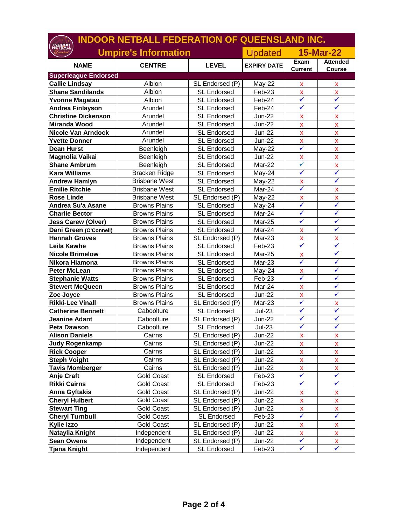| <b>INDOOR NETBALL FEDERATION OF QUEENSLAND INC.</b> |                      |                    |                                    |                                    |                                 |
|-----------------------------------------------------|----------------------|--------------------|------------------------------------|------------------------------------|---------------------------------|
| <b>Umpire's Information</b>                         |                      |                    | <b>15-Mar-22</b><br><b>Updated</b> |                                    |                                 |
| <b>NAME</b>                                         | <b>CENTRE</b>        | <b>LEVEL</b>       | <b>EXPIRY DATE</b>                 | Exam<br>Current                    | <b>Attended</b><br>Course       |
| <b>Superleague Endorsed</b>                         |                      |                    |                                    |                                    |                                 |
| <b>Callie Lindsay</b>                               | Albion               | SL Endorsed (P)    | May-22                             | x                                  | X                               |
| <b>Shane Sandilands</b>                             | Albion               | <b>SL Endorsed</b> | Feb-23                             | $\mathbf x$<br>$\checkmark$        | $\bar{\mathbf{X}}$<br>✓         |
| <b>Yvonne Magatau</b>                               | Albion               | <b>SL Endorsed</b> | Feb-24                             | $\checkmark$                       | ✓                               |
| Andrea Finlayson                                    | Arundel              | <b>SL Endorsed</b> | Feb-24                             |                                    |                                 |
| <b>Christine Dickenson</b>                          | Arundel              | <b>SL Endorsed</b> | <b>Jun-22</b>                      | $\pmb{\mathsf{X}}$                 | X                               |
| <b>Miranda Wood</b>                                 | Arundel              | <b>SL Endorsed</b> | <b>Jun-22</b>                      | X                                  | X                               |
| <b>Nicole Van Arndock</b>                           | Arundel              | <b>SL Endorsed</b> | Jun-22                             | X                                  | X                               |
| <b>Yvette Donner</b>                                | Arundel              | <b>SL Endorsed</b> | <b>Jun-22</b>                      | $\pmb{\mathsf{X}}$<br>$\checkmark$ | X                               |
| <b>Dean Hurst</b>                                   | Beenleigh            | <b>SL Endorsed</b> | May-22                             |                                    | X                               |
| Magnolia Vaikai                                     | Beenleigh            | <b>SL Endorsed</b> | <b>Jun-22</b>                      | $\pmb{\mathsf{X}}$<br>$\checkmark$ | X                               |
| <b>Shane Ambrum</b>                                 | Beenleigh            | <b>SL Endorsed</b> | Mar-22                             | $\checkmark$                       | X<br>✓                          |
| <b>Kara Williams</b>                                | Bracken Ridge        | <b>SL Endorsed</b> | May-24                             |                                    | ✓                               |
| <b>Andrew Hamlyn</b>                                | <b>Brisbane West</b> | <b>SL Endorsed</b> | May-22                             | X<br>$\checkmark$                  |                                 |
| <b>Emilie Ritchie</b>                               | <b>Brisbane West</b> | <b>SL Endorsed</b> | Mar-24                             |                                    | x                               |
| <b>Rose Linde</b>                                   | <b>Brisbane West</b> | SL Endorsed (P)    | May-22                             | X<br>$\checkmark$                  | X<br>✓                          |
| Andrea Su'a Asane                                   | <b>Browns Plains</b> | <b>SL Endorsed</b> | May-24                             |                                    |                                 |
| <b>Charlie Bector</b>                               | <b>Browns Plains</b> | <b>SL Endorsed</b> | Mar-24                             | $\checkmark$                       | ✓                               |
| <b>Jess Carew (Olver)</b>                           | <b>Browns Plains</b> | <b>SL Endorsed</b> | Mar-25                             | $\checkmark$                       | ✓                               |
| Dani Green (O'Connell)                              | <b>Browns Plains</b> | <b>SL Endorsed</b> | Mar-24                             | $\pmb{\mathsf{X}}$                 | ✓                               |
| <b>Hannah Groves</b>                                | <b>Browns Plains</b> | SL Endorsed (P)    | Mar-23                             | $\boldsymbol{\mathsf{X}}$          | x                               |
| Leila Kawhe                                         | <b>Browns Plains</b> | <b>SL Endorsed</b> | Feb-23                             | $\checkmark$                       | ✓                               |
| <b>Nicole Brimelow</b>                              | <b>Browns Plains</b> | <b>SL Endorsed</b> | Mar-25                             | x                                  | $\checkmark$                    |
| Nikora Hiamona                                      | <b>Browns Plains</b> | <b>SL Endorsed</b> | Mar-23                             | $\checkmark$                       | $\checkmark$                    |
| <b>Peter McLean</b>                                 | <b>Browns Plains</b> | <b>SL Endorsed</b> | May-24                             | X                                  | $\checkmark$                    |
| <b>Stephanie Watts</b>                              | <b>Browns Plains</b> | <b>SL Endorsed</b> | Feb-23                             | $\checkmark$                       | $\checkmark$                    |
| <b>Stewert McQueen</b>                              | <b>Browns Plains</b> | <b>SL Endorsed</b> | Mar-24                             | x                                  | $\checkmark$                    |
| Zoe Joyce                                           | <b>Browns Plains</b> | SL Endorsed        | <b>Jun-22</b>                      | X                                  | $\checkmark$                    |
| <b>Rikki-Lee Vinall</b>                             | <b>Browns Plains</b> | SL Endorsed (P)    | Mar-23                             | $\checkmark$                       | X                               |
| <b>Catherine Bennett</b>                            | Caboolture           | <b>SL Endorsed</b> | $Jul-23$                           | $\checkmark$                       | ✓                               |
| <b>Jeanine Adant</b>                                | Caboolture           | SL Endorsed (P)    | <b>Jun-22</b>                      | $\checkmark$                       | ✓<br>$\checkmark$               |
| Peta Dawson                                         | Caboolture           | <b>SL Endorsed</b> | $Jul-23$                           | $\checkmark$                       |                                 |
| <b>Alison Daniels</b>                               | Cairns               | SL Endorsed (P)    | Jun-22                             | X                                  | x                               |
| <b>Judy Rogenkamp</b>                               | Cairns               | SL Endorsed (P)    | Jun-22                             | X                                  | x                               |
| <b>Rick Cooper</b>                                  | Cairns               | SL Endorsed (P)    | Jun-22                             | X                                  | X                               |
| <b>Steph Voight</b>                                 | Cairns               | SL Endorsed (P)    | Jun-22                             | X                                  | X                               |
| <b>Tavis Momberger</b>                              | Cairns               | SL Endorsed (P)    | Jun-22                             | $\mathsf{X}$<br>$\checkmark$       | $\frac{\mathsf{x}}{\mathsf{y}}$ |
| Anje Craft                                          | <b>Gold Coast</b>    | <b>SL Endorsed</b> | Feb-23                             |                                    |                                 |
| <b>Rikki Cairns</b>                                 | <b>Gold Coast</b>    | <b>SL Endorsed</b> | Feb-23                             | $\checkmark$                       | $\checkmark$                    |
| <b>Anna Gyftakis</b>                                | Gold Coast           | SL Endorsed (P)    | Jun-22                             | X                                  | x                               |
| <b>Cheryl Hulbert</b>                               | <b>Gold Coast</b>    | SL Endorsed (P)    | Jun-22                             | X                                  | x                               |
| <b>Stewart Ting</b>                                 | <b>Gold Coast</b>    | SL Endorsed (P)    | Jun-22                             | X                                  | X                               |
| <b>Cheryl Turnbull</b>                              | <b>Gold Coast</b>    | <b>SL Endorsed</b> | Feb-23                             | $\checkmark$                       | $\checkmark$                    |
| <b>Kylie Izzo</b>                                   | <b>Gold Coast</b>    | SL Endorsed (P)    | Jun-22                             | $\pmb{\mathsf{X}}$                 | X                               |
| Nataylia Knight                                     | Independent          | SL Endorsed (P)    | Jun-22                             | $\mathsf{x}$                       | X                               |
| <b>Sean Owens</b>                                   | Independent          | SL Endorsed (P)    | Jun-22                             | $\checkmark$                       | X                               |
| <b>Tjana Knight</b>                                 | Independent          | SL Endorsed        | Feb-23                             | $\checkmark$                       | $\checkmark$                    |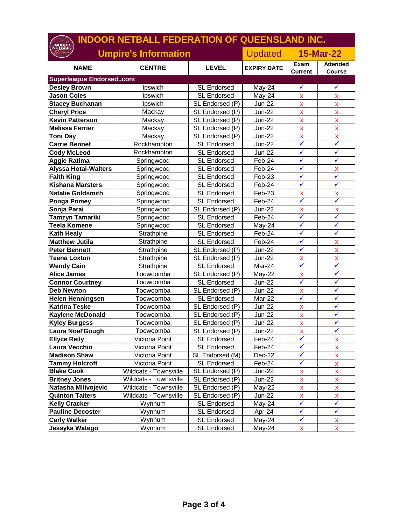| <b>INDOOR NETBALL FEDERATION OF QUEENSLAND INC.</b> |                             |                    |                    |                           |                           |
|-----------------------------------------------------|-----------------------------|--------------------|--------------------|---------------------------|---------------------------|
|                                                     | <b>Umpire's Information</b> |                    | <b>Updated</b>     | <b>15-Mar-22</b>          |                           |
| <b>NAME</b>                                         | <b>CENTRE</b>               | <b>LEVEL</b>       | <b>EXPIRY DATE</b> | Exam<br><b>Current</b>    | <b>Attended</b><br>Course |
| <b>Superleague Endorsedcont</b>                     |                             |                    |                    |                           |                           |
| <b>Desley Brown</b>                                 | Ipswich                     | <b>SL Endorsed</b> | May-24             | $\checkmark$              | $\checkmark$              |
| <b>Jason Coles</b>                                  | Ipswich                     | <b>SL Endorsed</b> | May-24             | $\pmb{\mathsf{x}}$        | X                         |
| <b>Stacey Buchanan</b>                              | Ipswich                     | SL Endorsed (P)    | <b>Jun-22</b>      | $\pmb{\mathsf{x}}$        | X                         |
| <b>Cheryl Price</b>                                 | Mackay                      | SL Endorsed (P)    | <b>Jun-22</b>      | $\pmb{\mathsf{X}}$        | X                         |
| <b>Kevin Patterson</b>                              | Mackay                      | SL Endorsed (P)    | <b>Jun-22</b>      | $\pmb{\mathsf{x}}$        | X                         |
| <b>Melissa Ferrier</b>                              | Mackay                      | SL Endorsed (P)    | Jun-22             | $\pmb{\mathsf{x}}$        | $\pmb{\mathsf{X}}$        |
| <b>Toni Day</b>                                     | Mackay                      | SL Endorsed (P)    | <b>Jun-22</b>      | $\bar{\mathbf{X}}$        | $\bar{\mathbf{X}}$        |
| <b>Carrie Bennet</b>                                | Rockhampton                 | <b>SL Endorsed</b> | <b>Jun-22</b>      | $\checkmark$              | $\checkmark$              |
| <b>Cody McLeod</b>                                  | Rockhampton                 | <b>SL Endorsed</b> | <b>Jun-22</b>      | $\checkmark$              | $\checkmark$              |
| <b>Aggie Ratima</b>                                 | Springwood                  | <b>SL Endorsed</b> | Feb-24             | $\checkmark$              | $\checkmark$              |
| <b>Alyssa Hotai-Walters</b>                         | Springwood                  | <b>SL Endorsed</b> | Feb-24             | $\checkmark$              | $\mathsf{x}$              |
| <b>Faith King</b>                                   | Springwood                  | <b>SL Endorsed</b> | Feb-23             | ✓                         | $\checkmark$              |
| <b>Kishana Marsters</b>                             | Springwood                  | <b>SL Endorsed</b> | Feb-24             | $\checkmark$              | ✓                         |
| <b>Natalie Goldsmith</b>                            | Springwood                  | <b>SL Endorsed</b> | Feb-23             | X                         | X                         |
| <b>Ponga Pomey</b>                                  | Springwood                  | <b>SL Endorsed</b> | Feb-24             | $\checkmark$              | $\checkmark$              |
| Sonja Parai                                         | Springwood                  | SL Endorsed (P)    | Jun-22             | $\boldsymbol{\mathsf{x}}$ | X                         |
| <b>Tamzyn Tamariki</b>                              | Springwood                  | <b>SL Endorsed</b> | Feb-24             | $\checkmark$              | $\checkmark$              |
| <b>Teela Komene</b>                                 | Springwood                  | <b>SL Endorsed</b> | May-24             | $\checkmark$              | $\checkmark$              |
| <b>Kath Healy</b>                                   | Strathpine                  | <b>SL Endorsed</b> | Feb-24             | $\checkmark$              | ✓                         |
| <b>Matthew Jutila</b>                               | Strathpine                  | <b>SL Endorsed</b> | Feb-24             | $\checkmark$              | X                         |
| <b>Peter Bennett</b>                                | Strathpine                  | SL Endorsed (P)    | Jun-22             | $\checkmark$              | X                         |
| <b>Teena Loxton</b>                                 | Strathpine                  | SL Endorsed (P)    | <b>Jun-22</b>      | $\pmb{\mathsf{x}}$        | $\pmb{\mathsf{X}}$        |
| <b>Wendy Cain</b>                                   | Strathpine                  | <b>SL Endorsed</b> | Mar-24             | $\checkmark$              | ✓                         |
| <b>Alice James</b>                                  | Toowoomba                   | SL Endorsed (P)    | May-22             | $\pmb{\mathsf{X}}$        | ✓                         |
| <b>Connor Courtney</b>                              | Toowoomba                   | <b>SL Endorsed</b> | <b>Jun-22</b>      | ✓                         | $\checkmark$              |
| <b>Deb Newton</b>                                   | Toowoomba                   | SL Endorsed (P)    | <b>Jun-22</b>      | $\pmb{\mathsf{x}}$        | $\checkmark$              |
| <b>Helen Henningsen</b>                             | Toowoomba                   | <b>SL Endorsed</b> | Mar-22             | $\checkmark$              | $\checkmark$              |
| <b>Katrina Teske</b>                                | Toowoomba                   | SL Endorsed (P)    | <b>Jun-22</b>      | X                         | $\checkmark$              |
| <b>Kaylene McDonald</b>                             | Toowoomba                   | SL Endorsed (P)    | <b>Jun-22</b>      | $\pmb{\mathsf{X}}$        | $\checkmark$              |
| <b>Kyley Burgess</b>                                | Toowoomba                   | SL Endorsed (P)    | Jun-22             | $\pmb{\mathsf{X}}$        | $\checkmark$              |
| Laura Noel'Gough                                    | Toowoomba                   | SL Endorsed (P)    | $Jun-22$           | $\pmb{\mathsf{X}}$        | $\checkmark$              |
| <b>Ellyce Reily</b>                                 | Victoria Point              | <b>SL Endorsed</b> | Feb-24             | $\checkmark$              | x                         |
| Laura Vecchio                                       | Victoria Point              | SL Endorsed        | Feb-24             | $\checkmark$              | x                         |
| <b>Madison Shaw</b>                                 | Victoria Point              | SL Endorsed (M)    | Dec-22             | $\checkmark$              | x                         |
| <b>Tammy Holcroft</b>                               | Victoria Point              | SL Endorsed        | Feb-24             | $\checkmark$              | x                         |
| <b>Blake Cook</b>                                   | Wildcats - Townsville       | SL Endorsed (P)    | Jun-22             | X                         | X                         |
| <b>Britney Jones</b>                                | Wildcats - Townsville       | SL Endorsed (P)    | Jun-22             | X                         | X                         |
| Natasha Milivojevic                                 | Wildcats - Townsville       | SL Endorsed (P)    | May-22             | $\mathsf{x}$              | X                         |
| <b>Quinton Taiters</b>                              | Wildcats - Townsville       | SL Endorsed (P)    | Jun-22             | $\mathsf{X}% _{0}$        | $\mathsf{x}$              |
| <b>Kelly Cracker</b>                                | Wynnum                      | <b>SL Endorsed</b> | May-24             | $\checkmark$              | $\checkmark$              |
| <b>Pauline Decoster</b>                             | Wynnum                      | SL Endorsed        | Apr-24             | $\checkmark$              | $\checkmark$              |
| <b>Carly Walker</b>                                 | Wynnum                      | SL Endorsed        | May-24             | $\checkmark$              | X                         |
| Jessyka Watego                                      | Wynnum                      | <b>SL Endorsed</b> | May-24             | $\boldsymbol{\mathsf{X}}$ | $\boldsymbol{\mathsf{X}}$ |